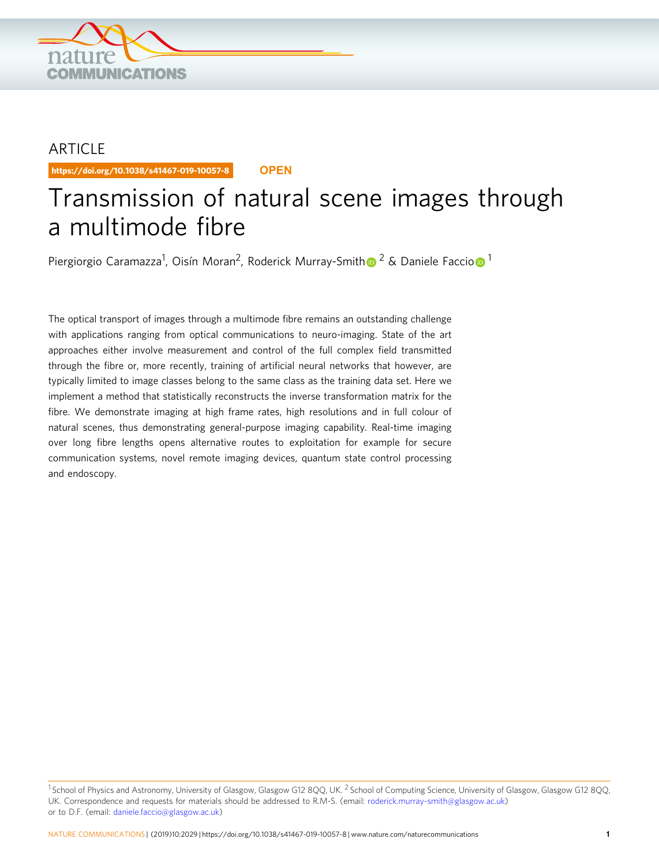

## ARTICLE

https://doi.org/10.1038/s41467-019-10057-8 **OPEN**

# Transmission of natural scene images through a multimode fibre

Piergiorgio Caramazza<sup>1</sup>, Oisín Moran<sup>2</sup>, Roderick Murray-Smit[h](http://orcid.org/0000-0003-4228-7962)@ <sup>[2](http://orcid.org/0000-0003-4228-7962)</sup> & Daniele Facci[o](http://orcid.org/0000-0001-8397-334X) <mark>©</mark> <sup>1</sup>

The optical transport of images through a multimode fibre remains an outstanding challenge with applications ranging from optical communications to neuro-imaging. State of the art approaches either involve measurement and control of the full complex field transmitted through the fibre or, more recently, training of artificial neural networks that however, are typically limited to image classes belong to the same class as the training data set. Here we implement a method that statistically reconstructs the inverse transformation matrix for the fibre. We demonstrate imaging at high frame rates, high resolutions and in full colour of natural scenes, thus demonstrating general-purpose imaging capability. Real-time imaging over long fibre lengths opens alternative routes to exploitation for example for secure communication systems, novel remote imaging devices, quantum state control processing and endoscopy.

<sup>&</sup>lt;sup>1</sup> School of Physics and Astronomy, University of Glasgow, Glasgow G12 8OO, UK.<sup>2</sup> School of Computing Science, University of Glasgow, Glasgow G12 8OO, UK. Correspondence and requests for materials should be addressed to R.M-S. (email: [roderick.murray-smith@glasgow.ac.uk](mailto:roderick.murray-smith@glasgow.ac.uk)) or to D.F. (email: [daniele.faccio@glasgow.ac.uk](mailto:daniele.faccio@glasgow.ac.uk))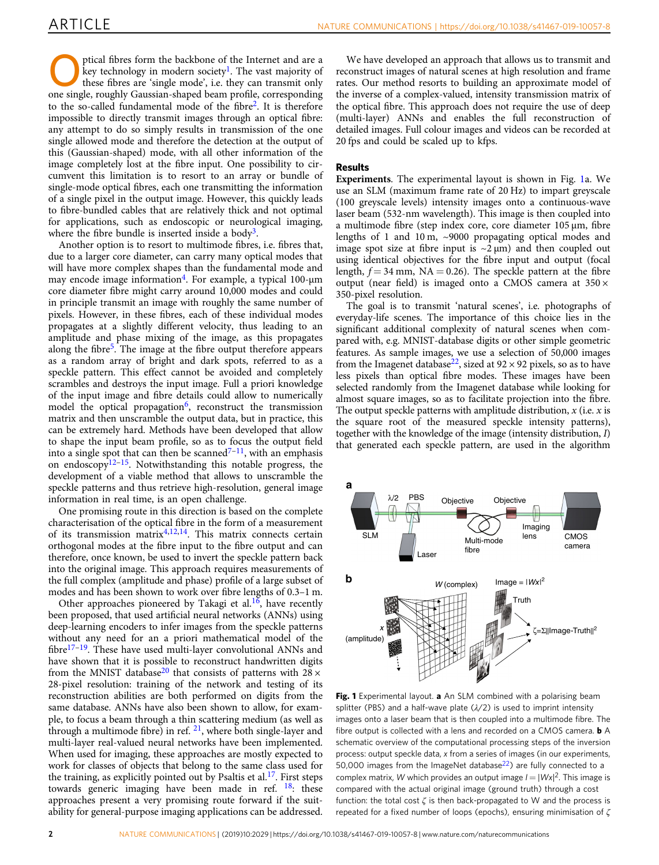<span id="page-1-0"></span>ptical fibres form the backbone of the Internet and are a<br>these fibres are 'single mode', i.e. they can transmit only<br>and these fibres are 'single mode', i.e. they can transmit only<br>and the set of the couple results of the key technology in modern society<sup>1</sup>. The vast majority of one single, roughly Gaussian-shaped beam profile, corresponding to the so-called fundamental mode of the fibre<sup>[2](#page-5-0)</sup>. It is therefore impossible to directly transmit images through an optical fibre: any attempt to do so simply results in transmission of the one single allowed mode and therefore the detection at the output of this (Gaussian-shaped) mode, with all other information of the image completely lost at the fibre input. One possibility to circumvent this limitation is to resort to an array or bundle of single-mode optical fibres, each one transmitting the information of a single pixel in the output image. However, this quickly leads to fibre-bundled cables that are relatively thick and not optimal for applications, such as endoscopic or neurological imaging, where the fibre bundle is inserted inside a body<sup>[3](#page-5-0)</sup>.

Another option is to resort to multimode fibres, i.e. fibres that, due to a larger core diameter, can carry many optical modes that will have more complex shapes than the fundamental mode and may encode image information<sup>4</sup>. For example, a typical 100- $\mu$ m core diameter fibre might carry around 10,000 modes and could in principle transmit an image with roughly the same number of pixels. However, in these fibres, each of these individual modes propagates at a slightly different velocity, thus leading to an amplitude and phase mixing of the image, as this propagates along the fibre<sup>[5](#page-5-0)</sup>. The image at the fibre output therefore appears as a random array of bright and dark spots, referred to as a speckle pattern. This effect cannot be avoided and completely scrambles and destroys the input image. Full a priori knowledge of the input image and fibre details could allow to numerically model the optical propagation $6$ , reconstruct the transmission matrix and then unscramble the output data, but in practice, this can be extremely hard. Methods have been developed that allow to shape the input beam profile, so as to focus the output field into a single spot that can then be scanned<sup> $7-11$  $7-11$ </sup>, with an emphasis on endoscopy $12-15$  $12-15$  $12-15$ . Notwithstanding this notable progress, the development of a viable method that allows to unscramble the speckle patterns and thus retrieve high-resolution, general image information in real time, is an open challenge.

One promising route in this direction is based on the complete characterisation of the optical fibre in the form of a measurement of its transmission matrix<sup>[4,12,14](#page-5-0)</sup>. This matrix connects certain orthogonal modes at the fibre input to the fibre output and can therefore, once known, be used to invert the speckle pattern back into the original image. This approach requires measurements of the full complex (amplitude and phase) profile of a large subset of modes and has been shown to work over fibre lengths of 0.3–1 m.

Other approaches pioneered by Takagi et al.<sup>16</sup>, have recently been proposed, that used artificial neural networks (ANNs) using deep-learning encoders to infer images from the speckle patterns without any need for an a priori mathematical model of the fibre<sup>[17](#page-5-0)-[19](#page-5-0)</sup>. These have used multi-layer convolutional ANNs and have shown that it is possible to reconstruct handwritten digits from the MNIST database<sup>[20](#page-5-0)</sup> that consists of patterns with  $28 \times$ 28-pixel resolution: training of the network and testing of its reconstruction abilities are both performed on digits from the same database. ANNs have also been shown to allow, for example, to focus a beam through a thin scattering medium (as well as through a multimode fibre) in ref. [21](#page-5-0), where both single-layer and multi-layer real-valued neural networks have been implemented. When used for imaging, these approaches are mostly expected to work for classes of objects that belong to the same class used for the training, as explicitly pointed out by Psaltis et al.<sup>17</sup>. First steps towards generic imaging have been made in ref.  $18$ : these approaches present a very promising route forward if the suitability for general-purpose imaging applications can be addressed.

We have developed an approach that allows us to transmit and reconstruct images of natural scenes at high resolution and frame rates. Our method resorts to building an approximate model of the inverse of a complex-valued, intensity transmission matrix of the optical fibre. This approach does not require the use of deep (multi-layer) ANNs and enables the full reconstruction of detailed images. Full colour images and videos can be recorded at 20 fps and could be scaled up to kfps.

#### Results

Experiments. The experimental layout is shown in Fig. 1a. We use an SLM (maximum frame rate of 20 Hz) to impart greyscale (100 greyscale levels) intensity images onto a continuous-wave laser beam (532-nm wavelength). This image is then coupled into a multimode fibre (step index core, core diameter 105 μm, fibre lengths of 1 and 10 m, ~9000 propagating optical modes and image spot size at fibre input is  $\sim$ 2  $\mu$ m) and then coupled out using identical objectives for the fibre input and output (focal length,  $f = 34$  mm, NA = 0.26). The speckle pattern at the fibre output (near field) is imaged onto a CMOS camera at 350 × 350-pixel resolution.

The goal is to transmit 'natural scenes', i.e. photographs of everyday-life scenes. The importance of this choice lies in the significant additional complexity of natural scenes when compared with, e.g. MNIST-database digits or other simple geometric features. As sample images, we use a selection of 50,000 images from the Imagenet database<sup>22</sup>, sized at  $92 \times 92$  pixels, so as to have less pixels than optical fibre modes. These images have been selected randomly from the Imagenet database while looking for almost square images, so as to facilitate projection into the fibre. The output speckle patterns with amplitude distribution,  $x$  (i.e.  $x$  is the square root of the measured speckle intensity patterns), together with the knowledge of the image (intensity distribution, I) that generated each speckle pattern, are used in the algorithm



Fig. 1 Experimental layout. a An SLM combined with a polarising beam splitter (PBS) and a half-wave plate  $(\lambda/2)$  is used to imprint intensity images onto a laser beam that is then coupled into a multimode fibre. The fibre output is collected with a lens and recorded on a CMOS camera. **b** A schematic overview of the computational processing steps of the inversion process: output speckle data, x from a series of images (in our experiments, 50,000 images from the ImageNet database $^{22}$ ) are fully connected to a complex matrix, W which provides an output image  $I = |Wx|^2$ . This image is compared with the actual original image (ground truth) through a cost function: the total cost  $\zeta$  is then back-propagated to W and the process is repeated for a fixed number of loops (epochs), ensuring minimisation of ζ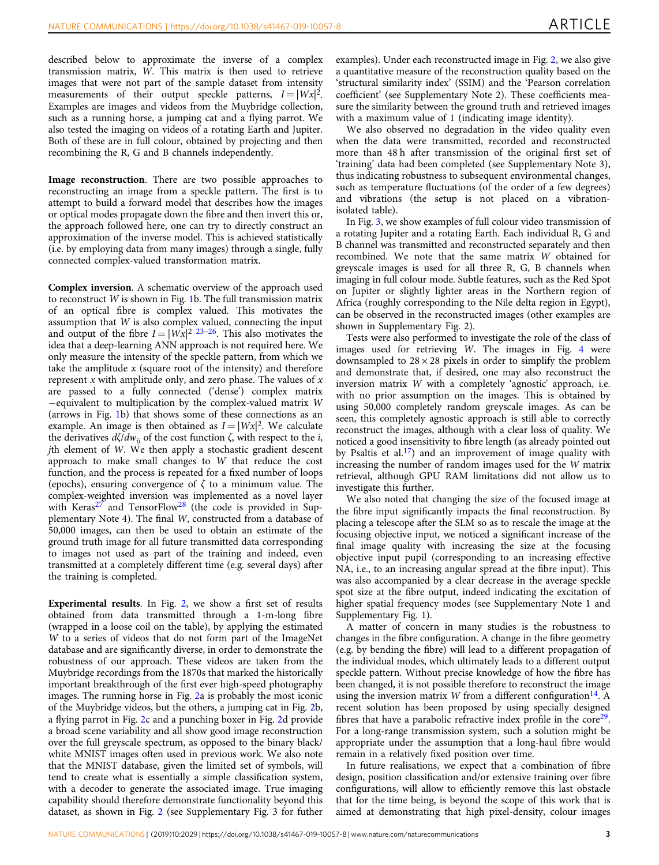described below to approximate the inverse of a complex transmission matrix, W. This matrix is then used to retrieve images that were not part of the sample dataset from intensity measurements of their output speckle patterns,  $I = |Wx|^2$ . Examples are images and videos from the Muybridge collection, such as a running horse, a jumping cat and a flying parrot. We also tested the imaging on videos of a rotating Earth and Jupiter. Both of these are in full colour, obtained by projecting and then recombining the R, G and B channels independently.

Image reconstruction. There are two possible approaches to reconstructing an image from a speckle pattern. The first is to attempt to build a forward model that describes how the images or optical modes propagate down the fibre and then invert this or, the approach followed here, one can try to directly construct an approximation of the inverse model. This is achieved statistically (i.e. by employing data from many images) through a single, fully connected complex-valued transformation matrix.

Complex inversion. A schematic overview of the approach used to reconstruct W is shown in Fig. [1](#page-1-0)b. The full transmission matrix of an optical fibre is complex valued. This motivates the assumption that W is also complex valued, connecting the input and output of the fibre  $I = |Wx|^2 \frac{23-26}{8}$  $I = |Wx|^2 \frac{23-26}{8}$  $I = |Wx|^2 \frac{23-26}{8}$ . This also motivates the idea that a deep-learning ANN approach is not required here. We only measure the intensity of the speckle pattern, from which we take the amplitude  $x$  (square root of the intensity) and therefore represent  $x$  with amplitude only, and zero phase. The values of  $x$ are passed to a fully connected ('dense') complex matrix −equivalent to multiplication by the complex-valued matrix W (arrows in Fig. [1b](#page-1-0)) that shows some of these connections as an example. An image is then obtained as  $I = |Wx|^2$ . We calculate the derivatives  $d\zeta/dw_{ij}$  of the cost function ζ, with respect to the *i*, jth element of W. We then apply a stochastic gradient descent approach to make small changes to W that reduce the cost function, and the process is repeated for a fixed number of loops (epochs), ensuring convergence of  $\zeta$  to a minimum value. The complex-weighted inversion was implemented as a novel layer with Keras<sup>[27](#page-5-0)</sup> and TensorFlow<sup>[28](#page-5-0)</sup> (the code is provided in Supplementary Note 4). The final W, constructed from a database of 50,000 images, can then be used to obtain an estimate of the ground truth image for all future transmitted data corresponding to images not used as part of the training and indeed, even transmitted at a completely different time (e.g. several days) after the training is completed.

Experimental results. In Fig. [2](#page-3-0), we show a first set of results obtained from data transmitted through a 1-m-long fibre (wrapped in a loose coil on the table), by applying the estimated W to a series of videos that do not form part of the ImageNet database and are significantly diverse, in order to demonstrate the robustness of our approach. These videos are taken from the Muybridge recordings from the 1870s that marked the historically important breakthrough of the first ever high-speed photography images. The running horse in Fig. [2a](#page-3-0) is probably the most iconic of the Muybridge videos, but the others, a jumping cat in Fig. [2b](#page-3-0), a flying parrot in Fig. [2c](#page-3-0) and a punching boxer in Fig. [2](#page-3-0)d provide a broad scene variability and all show good image reconstruction over the full greyscale spectrum, as opposed to the binary black/ white MNIST images often used in previous work. We also note that the MNIST database, given the limited set of symbols, will tend to create what is essentially a simple classification system, with a decoder to generate the associated image. True imaging capability should therefore demonstrate functionality beyond this dataset, as shown in Fig. [2](#page-3-0) (see Supplementary Fig. 3 for futher

examples). Under each reconstructed image in Fig. [2](#page-3-0), we also give a quantitative measure of the reconstruction quality based on the 'structural similarity index' (SSIM) and the 'Pearson correlation coefficient' (see Supplementary Note 2). These coefficients measure the similarity between the ground truth and retrieved images with a maximum value of 1 (indicating image identity).

We also observed no degradation in the video quality even when the data were transmitted, recorded and reconstructed more than 48 h after transmission of the original first set of 'training' data had been completed (see Supplementary Note 3), thus indicating robustness to subsequent environmental changes, such as temperature fluctuations (of the order of a few degrees) and vibrations (the setup is not placed on a vibrationisolated table).

In Fig. [3](#page-4-0), we show examples of full colour video transmission of a rotating Jupiter and a rotating Earth. Each individual R, G and B channel was transmitted and reconstructed separately and then recombined. We note that the same matrix W obtained for greyscale images is used for all three R, G, B channels when imaging in full colour mode. Subtle features, such as the Red Spot on Jupiter or slightly lighter areas in the Northern region of Africa (roughly corresponding to the Nile delta region in Egypt), can be observed in the reconstructed images (other examples are shown in Supplementary Fig. 2).

Tests were also performed to investigate the role of the class of images used for retrieving W. The images in Fig. [4](#page-4-0) were downsampled to  $28 \times 28$  pixels in order to simplify the problem and demonstrate that, if desired, one may also reconstruct the inversion matrix W with a completely 'agnostic' approach, i.e. with no prior assumption on the images. This is obtained by using 50,000 completely random greyscale images. As can be seen, this completely agnostic approach is still able to correctly reconstruct the images, although with a clear loss of quality. We noticed a good insensitivity to fibre length (as already pointed out by Psaltis et al. $^{17}$ ) and an improvement of image quality with increasing the number of random images used for the W matrix retrieval, although GPU RAM limitations did not allow us to investigate this further.

We also noted that changing the size of the focused image at the fibre input significantly impacts the final reconstruction. By placing a telescope after the SLM so as to rescale the image at the focusing objective input, we noticed a significant increase of the final image quality with increasing the size at the focusing objective input pupil (corresponding to an increasing effective NA, i.e., to an increasing angular spread at the fibre input). This was also accompanied by a clear decrease in the average speckle spot size at the fibre output, indeed indicating the excitation of higher spatial frequency modes (see Supplementary Note 1 and Supplementary Fig. 1).

A matter of concern in many studies is the robustness to changes in the fibre configuration. A change in the fibre geometry (e.g. by bending the fibre) will lead to a different propagation of the individual modes, which ultimately leads to a different output speckle pattern. Without precise knowledge of how the fibre has been changed, it is not possible therefore to reconstruct the image using the inversion matrix W from a different configuration<sup>[14](#page-5-0)</sup>. A recent solution has been proposed by using specially designed fibres that have a parabolic refractive index profile in the core $29$ . For a long-range transmission system, such a solution might be appropriate under the assumption that a long-haul fibre would remain in a relatively fixed position over time.

In future realisations, we expect that a combination of fibre design, position classification and/or extensive training over fibre configurations, will allow to efficiently remove this last obstacle that for the time being, is beyond the scope of this work that is aimed at demonstrating that high pixel-density, colour images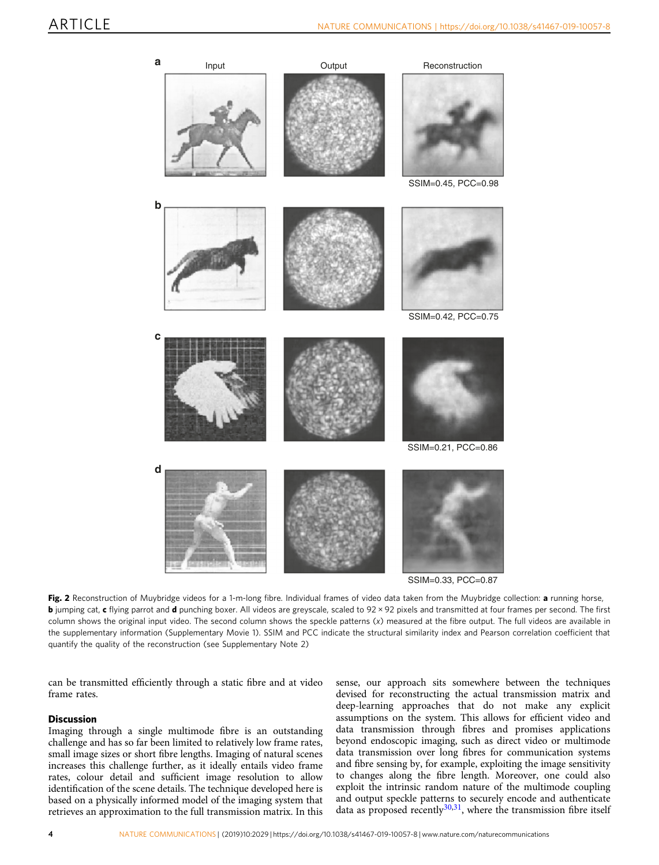<span id="page-3-0"></span>

SSIM=0.33, PCC=0.87

Fig. 2 Reconstruction of Muybridge videos for a 1-m-long fibre. Individual frames of video data taken from the Muybridge collection: a running horse, **b** jumping cat, c flying parrot and d punching boxer. All videos are greyscale, scaled to 92 × 92 pixels and transmitted at four frames per second. The first column shows the original input video. The second column shows the speckle patterns (x) measured at the fibre output. The full videos are available in the supplementary information (Supplementary Movie 1). SSIM and PCC indicate the structural similarity index and Pearson correlation coefficient that quantify the quality of the reconstruction (see Supplementary Note 2)

can be transmitted efficiently through a static fibre and at video frame rates.

#### **Discussion**

Imaging through a single multimode fibre is an outstanding challenge and has so far been limited to relatively low frame rates, small image sizes or short fibre lengths. Imaging of natural scenes increases this challenge further, as it ideally entails video frame rates, colour detail and sufficient image resolution to allow identification of the scene details. The technique developed here is based on a physically informed model of the imaging system that retrieves an approximation to the full transmission matrix. In this sense, our approach sits somewhere between the techniques devised for reconstructing the actual transmission matrix and deep-learning approaches that do not make any explicit assumptions on the system. This allows for efficient video and data transmission through fibres and promises applications beyond endoscopic imaging, such as direct video or multimode data transmission over long fibres for communication systems and fibre sensing by, for example, exploiting the image sensitivity to changes along the fibre length. Moreover, one could also exploit the intrinsic random nature of the multimode coupling and output speckle patterns to securely encode and authenticate data as proposed recently $30,31$  $30,31$  $30,31$ , where the transmission fibre itself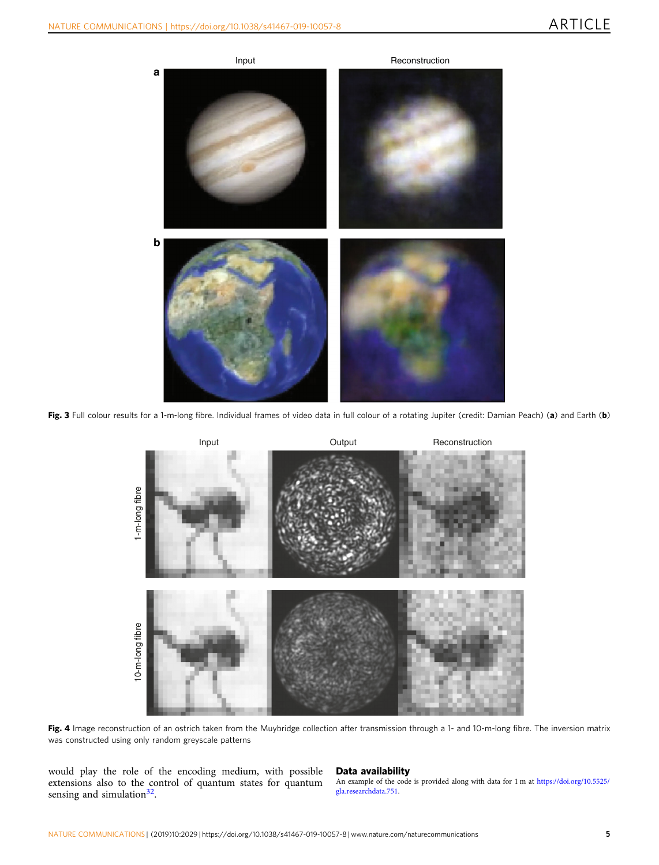<span id="page-4-0"></span>

Fig. 3 Full colour results for a 1-m-long fibre. Individual frames of video data in full colour of a rotating Jupiter (credit: Damian Peach) (a) and Earth (b)



Fig. 4 Image reconstruction of an ostrich taken from the Muybridge collection after transmission through a 1- and 10-m-long fibre. The inversion matrix was constructed using only random greyscale patterns

would play the role of the encoding medium, with possible extensions also to the control of quantum states for quantum sensing and simulation $32$ .

### Data availability

An example of the code is provided along with data for 1 m at [https://doi.org/10.5525/](https://doi.org/10.5525/gla.researchdata.751) [gla.researchdata.751.](https://doi.org/10.5525/gla.researchdata.751)